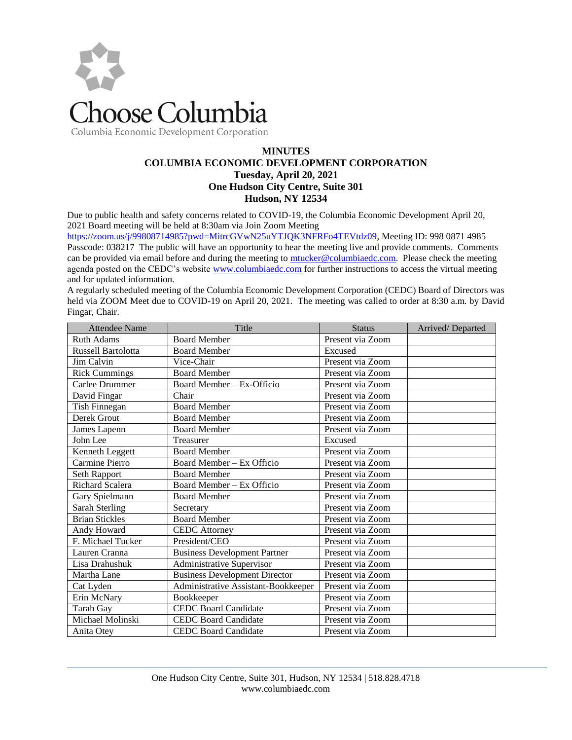

Columbia Economic Development Corporation

# **MINUTES COLUMBIA ECONOMIC DEVELOPMENT CORPORATION Tuesday, April 20, 2021 One Hudson City Centre, Suite 301 Hudson, NY 12534**

Due to public health and safety concerns related to COVID-19, the Columbia Economic Development April 20, 2021 Board meeting will be held at 8:30am via Join Zoom Meeting

[https://zoom.us/j/99808714985?pwd=MitrcGVwN25uYTJQK3NFRFo4TEVtdz09,](https://zoom.us/j/99808714985?pwd=MitrcGVwN25uYTJQK3NFRFo4TEVtdz09) Meeting ID: 998 0871 4985 Passcode: 038217 The public will have an opportunity to hear the meeting live and provide comments. Comments can be provided via email before and during the meeting to [mtucker@columbiaedc.com.](mailto:mtucker@columbiaedc.com) Please check the meeting agenda posted on the CEDC's website [www.columbiaedc.com](http://www.columbiaedc.com/) for further instructions to access the virtual meeting and for updated information.

A regularly scheduled meeting of the Columbia Economic Development Corporation (CEDC) Board of Directors was held via ZOOM Meet due to COVID-19 on April 20, 2021. The meeting was called to order at 8:30 a.m. by David Fingar, Chair.

| <b>Attendee Name</b>  | Title                                | <b>Status</b>    | Arrived/Departed |
|-----------------------|--------------------------------------|------------------|------------------|
| <b>Ruth Adams</b>     | <b>Board Member</b>                  | Present via Zoom |                  |
| Russell Bartolotta    | <b>Board Member</b>                  | Excused          |                  |
| Jim Calvin            | Vice-Chair                           | Present via Zoom |                  |
| <b>Rick Cummings</b>  | <b>Board Member</b>                  | Present via Zoom |                  |
| Carlee Drummer        | Board Member - Ex-Officio            | Present via Zoom |                  |
| David Fingar          | Chair                                | Present via Zoom |                  |
| <b>Tish Finnegan</b>  | <b>Board Member</b>                  | Present via Zoom |                  |
| Derek Grout           | <b>Board Member</b>                  | Present via Zoom |                  |
| James Lapenn          | <b>Board Member</b>                  | Present via Zoom |                  |
| John Lee              | Treasurer                            | Excused          |                  |
| Kenneth Leggett       | <b>Board Member</b>                  | Present via Zoom |                  |
| Carmine Pierro        | Board Member – Ex Officio            | Present via Zoom |                  |
| Seth Rapport          | <b>Board Member</b>                  | Present via Zoom |                  |
| Richard Scalera       | Board Member - Ex Officio            | Present via Zoom |                  |
| Gary Spielmann        | <b>Board Member</b>                  | Present via Zoom |                  |
| <b>Sarah Sterling</b> | Secretary                            | Present via Zoom |                  |
| <b>Brian Stickles</b> | <b>Board Member</b>                  | Present via Zoom |                  |
| Andy Howard           | <b>CEDC</b> Attorney                 | Present via Zoom |                  |
| F. Michael Tucker     | President/CEO                        | Present via Zoom |                  |
| Lauren Cranna         | <b>Business Development Partner</b>  | Present via Zoom |                  |
| Lisa Drahushuk        | Administrative Supervisor            | Present via Zoom |                  |
| Martha Lane           | <b>Business Development Director</b> | Present via Zoom |                  |
| Cat Lyden             | Administrative Assistant-Bookkeeper  | Present via Zoom |                  |
| Erin McNary           | Bookkeeper                           | Present via Zoom |                  |
| Tarah Gay             | <b>CEDC Board Candidate</b>          | Present via Zoom |                  |
| Michael Molinski      | <b>CEDC Board Candidate</b>          | Present via Zoom |                  |
| Anita Otey            | <b>CEDC Board Candidate</b>          | Present via Zoom |                  |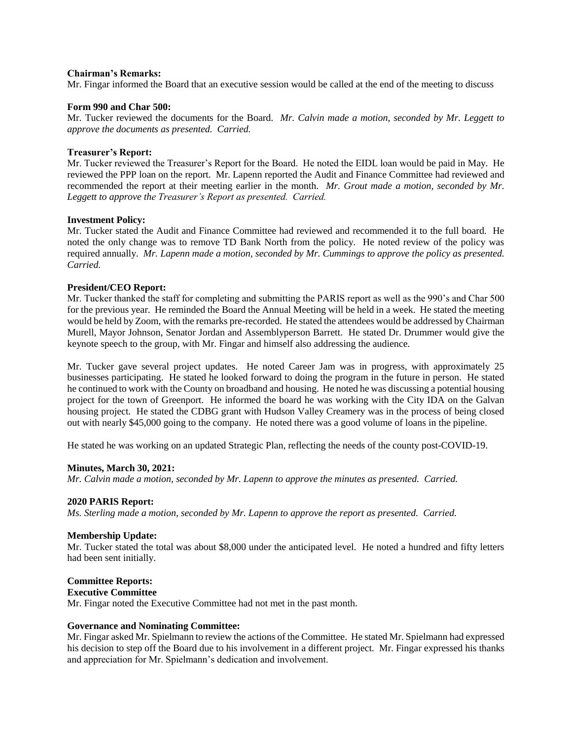#### **Chairman's Remarks:**

Mr. Fingar informed the Board that an executive session would be called at the end of the meeting to discuss

#### **Form 990 and Char 500:**

Mr. Tucker reviewed the documents for the Board. *Mr. Calvin made a motion, seconded by Mr. Leggett to approve the documents as presented. Carried.* 

#### **Treasurer's Report:**

Mr. Tucker reviewed the Treasurer's Report for the Board. He noted the EIDL loan would be paid in May. He reviewed the PPP loan on the report. Mr. Lapenn reported the Audit and Finance Committee had reviewed and recommended the report at their meeting earlier in the month. *Mr. Grout made a motion, seconded by Mr. Leggett to approve the Treasurer's Report as presented. Carried.*

#### **Investment Policy:**

Mr. Tucker stated the Audit and Finance Committee had reviewed and recommended it to the full board. He noted the only change was to remove TD Bank North from the policy. He noted review of the policy was required annually. *Mr. Lapenn made a motion, seconded by Mr. Cummings to approve the policy as presented. Carried.*

## **President/CEO Report:**

Mr. Tucker thanked the staff for completing and submitting the PARIS report as well as the 990's and Char 500 for the previous year. He reminded the Board the Annual Meeting will be held in a week. He stated the meeting would be held by Zoom, with the remarks pre-recorded. He stated the attendees would be addressed by Chairman Murell, Mayor Johnson, Senator Jordan and Assemblyperson Barrett. He stated Dr. Drummer would give the keynote speech to the group, with Mr. Fingar and himself also addressing the audience.

Mr. Tucker gave several project updates. He noted Career Jam was in progress, with approximately 25 businesses participating. He stated he looked forward to doing the program in the future in person. He stated he continued to work with the County on broadband and housing. He noted he was discussing a potential housing project for the town of Greenport. He informed the board he was working with the City IDA on the Galvan housing project. He stated the CDBG grant with Hudson Valley Creamery was in the process of being closed out with nearly \$45,000 going to the company. He noted there was a good volume of loans in the pipeline.

He stated he was working on an updated Strategic Plan, reflecting the needs of the county post-COVID-19.

## **Minutes, March 30, 2021:**

*Mr. Calvin made a motion, seconded by Mr. Lapenn to approve the minutes as presented. Carried.* 

#### **2020 PARIS Report:**

*Ms. Sterling made a motion, seconded by Mr. Lapenn to approve the report as presented. Carried.*

## **Membership Update:**

Mr. Tucker stated the total was about \$8,000 under the anticipated level. He noted a hundred and fifty letters had been sent initially.

# **Committee Reports:**

**Executive Committee**

Mr. Fingar noted the Executive Committee had not met in the past month.

## **Governance and Nominating Committee:**

Mr. Fingar asked Mr. Spielmann to review the actions of the Committee. He stated Mr. Spielmann had expressed his decision to step off the Board due to his involvement in a different project. Mr. Fingar expressed his thanks and appreciation for Mr. Spielmann's dedication and involvement.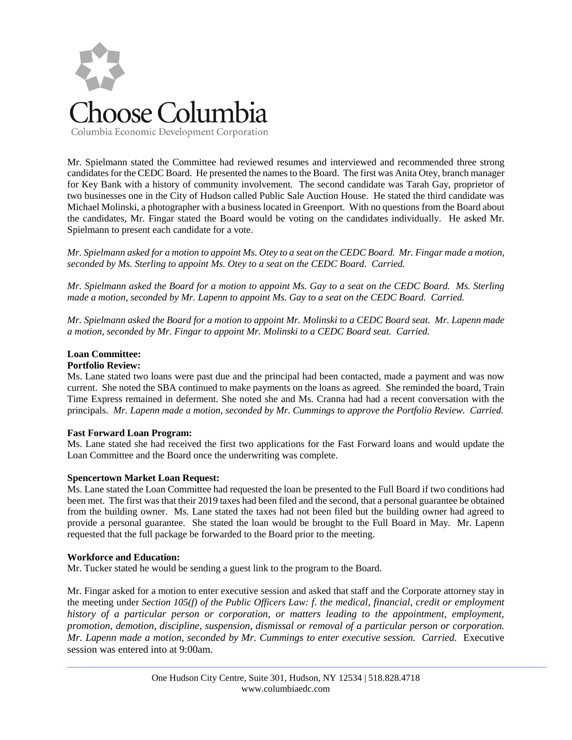

Mr. Spielmann stated the Committee had reviewed resumes and interviewed and recommended three strong candidates for the CEDC Board. He presented the names to the Board. The first was Anita Otey, branch manager for Key Bank with a history of community involvement. The second candidate was Tarah Gay, proprietor of two businesses one in the City of Hudson called Public Sale Auction House. He stated the third candidate was Michael Molinski, a photographer with a business located in Greenport. With no questions from the Board about the candidates, Mr. Fingar stated the Board would be voting on the candidates individually. He asked Mr. Spielmann to present each candidate for a vote.

*Mr. Spielmann asked for a motion to appoint Ms. Otey to a seat on the CEDC Board. Mr. Fingar made a motion, seconded by Ms. Sterling to appoint Ms. Otey to a seat on the CEDC Board. Carried.* 

*Mr. Spielmann asked the Board for a motion to appoint Ms. Gay to a seat on the CEDC Board. Ms. Sterling made a motion, seconded by Mr. Lapenn to appoint Ms. Gay to a seat on the CEDC Board. Carried.* 

*Mr. Spielmann asked the Board for a motion to appoint Mr. Molinski to a CEDC Board seat. Mr. Lapenn made a motion, seconded by Mr. Fingar to appoint Mr. Molinski to a CEDC Board seat. Carried.* 

# **Loan Committee:**

# **Portfolio Review:**

Ms. Lane stated two loans were past due and the principal had been contacted, made a payment and was now current. She noted the SBA continued to make payments on the loans as agreed. She reminded the board, Train Time Express remained in deferment. She noted she and Ms. Cranna had had a recent conversation with the principals. *Mr. Lapenn made a motion, seconded by Mr. Cummings to approve the Portfolio Review. Carried.*

## **Fast Forward Loan Program:**

Ms. Lane stated she had received the first two applications for the Fast Forward loans and would update the Loan Committee and the Board once the underwriting was complete.

# **Spencertown Market Loan Request:**

Ms. Lane stated the Loan Committee had requested the loan be presented to the Full Board if two conditions had been met. The first was that their 2019 taxes had been filed and the second, that a personal guarantee be obtained from the building owner. Ms. Lane stated the taxes had not been filed but the building owner had agreed to provide a personal guarantee. She stated the loan would be brought to the Full Board in May. Mr. Lapenn requested that the full package be forwarded to the Board prior to the meeting.

## **Workforce and Education:**

Mr. Tucker stated he would be sending a guest link to the program to the Board.

Mr. Fingar asked for a motion to enter executive session and asked that staff and the Corporate attorney stay in the meeting under *Section 105(f) of the Public Officers Law: f. the medical, financial, credit or employment history of a particular person or corporation, or matters leading to the appointment, employment, promotion, demotion, discipline, suspension, dismissal or removal of a particular person or corporation. Mr. Lapenn made a motion, seconded by Mr. Cummings to enter executive session. Carried.* Executive session was entered into at 9:00am.